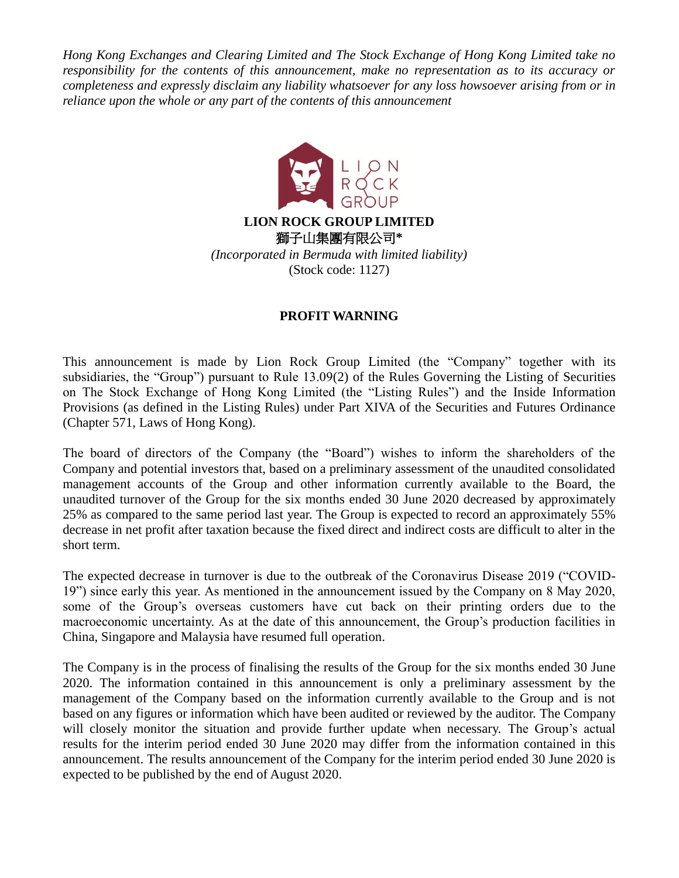*Hong Kong Exchanges and Clearing Limited and The Stock Exchange of Hong Kong Limited take no responsibility for the contents of this announcement, make no representation as to its accuracy or completeness and expressly disclaim any liability whatsoever for any loss howsoever arising from or in reliance upon the whole or any part of the contents of this announcement*



## **PROFIT WARNING**

This announcement is made by Lion Rock Group Limited (the "Company" together with its subsidiaries, the "Group") pursuant to Rule 13.09(2) of the Rules Governing the Listing of Securities on The Stock Exchange of Hong Kong Limited (the "Listing Rules") and the Inside Information Provisions (as defined in the Listing Rules) under Part XIVA of the Securities and Futures Ordinance (Chapter 571, Laws of Hong Kong).

The board of directors of the Company (the "Board") wishes to inform the shareholders of the Company and potential investors that, based on a preliminary assessment of the unaudited consolidated management accounts of the Group and other information currently available to the Board, the unaudited turnover of the Group for the six months ended 30 June 2020 decreased by approximately 25% as compared to the same period last year. The Group is expected to record an approximately 55% decrease in net profit after taxation because the fixed direct and indirect costs are difficult to alter in the short term.

The expected decrease in turnover is due to the outbreak of the Coronavirus Disease 2019 ("COVID-19") since early this year. As mentioned in the announcement issued by the Company on 8 May 2020, some of the Group's overseas customers have cut back on their printing orders due to the macroeconomic uncertainty. As at the date of this announcement, the Group's production facilities in China, Singapore and Malaysia have resumed full operation.

The Company is in the process of finalising the results of the Group for the six months ended 30 June 2020. The information contained in this announcement is only a preliminary assessment by the management of the Company based on the information currently available to the Group and is not based on any figures or information which have been audited or reviewed by the auditor. The Company will closely monitor the situation and provide further update when necessary. The Group's actual results for the interim period ended 30 June 2020 may differ from the information contained in this announcement. The results announcement of the Company for the interim period ended 30 June 2020 is expected to be published by the end of August 2020.